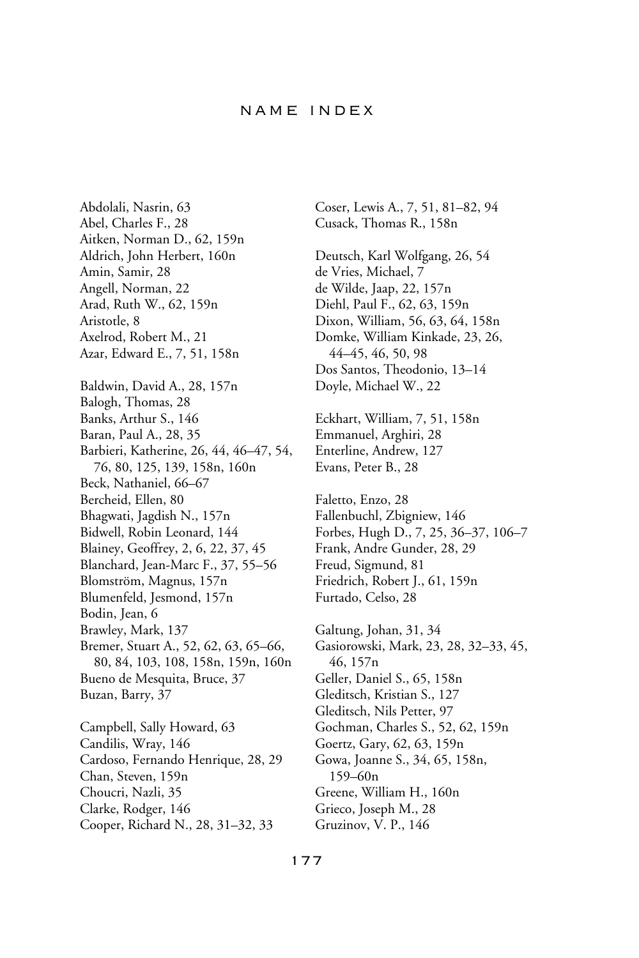## name index

Abdolali, Nasrin, 63 Abel, Charles F., 28 Aitken, Norman D., 62, 159n Aldrich, John Herbert, 160n Amin, Samir, 28 Angell, Norman, 22 Arad, Ruth W., 62, 159n Aristotle, 8 Axelrod, Robert M., 21 Azar, Edward E., 7, 51, 158n Baldwin, David A., 28, 157n Balogh, Thomas, 28 Banks, Arthur S., 146 Baran, Paul A., 28, 35 Barbieri, Katherine, 26, 44, 46–47, 54, 76, 80, 125, 139, 158n, 160n Beck, Nathaniel, 66–67 Bercheid, Ellen, 80 Bhagwati, Jagdish N., 157n Bidwell, Robin Leonard, 144 Blainey, Geoffrey, 2, 6, 22, 37, 45 Blanchard, Jean-Marc F., 37, 55–56 Blomström, Magnus, 157n Blumenfeld, Jesmond, 157n Bodin, Jean, 6 Brawley, Mark, 137 Bremer, Stuart A., 52, 62, 63, 65–66, 80, 84, 103, 108, 158n, 159n, 160n Bueno de Mesquita, Bruce, 37 Buzan, Barry, 37 Campbell, Sally Howard, 63 Candilis, Wray, 146 Cardoso, Fernando Henrique, 28, 29 Chan, Steven, 159n Choucri, Nazli, 35 Clarke, Rodger, 146

Cooper, Richard N., 28, 31–32, 33

Coser, Lewis A., 7, 51, 81–82, 94 Cusack, Thomas R., 158n Deutsch, Karl Wolfgang, 26, 54 de Vries, Michael, 7 de Wilde, Jaap, 22, 157n Diehl, Paul F., 62, 63, 159n Dixon, William, 56, 63, 64, 158n Domke, William Kinkade, 23, 26, 44–45, 46, 50, 98 Dos Santos, Theodonio, 13–14 Doyle, Michael W., 22 Eckhart, William, 7, 51, 158n Emmanuel, Arghiri, 28 Enterline, Andrew, 127 Evans, Peter B., 28 Faletto, Enzo, 28 Fallenbuchl, Zbigniew, 146 Forbes, Hugh D., 7, 25, 36–37, 106–7 Frank, Andre Gunder, 28, 29 Freud, Sigmund, 81 Friedrich, Robert J., 61, 159n Furtado, Celso, 28 Galtung, Johan, 31, 34 Gasiorowski, Mark, 23, 28, 32–33, 45, 46, 157n Geller, Daniel S., 65, 158n Gleditsch, Kristian S., 127 Gleditsch, Nils Petter, 97 Gochman, Charles S., 52, 62, 159n Goertz, Gary, 62, 63, 159n Gowa, Joanne S., 34, 65, 158n, 159–60n Greene, William H., 160n Grieco, Joseph M., 28 Gruzinov, V. P., 146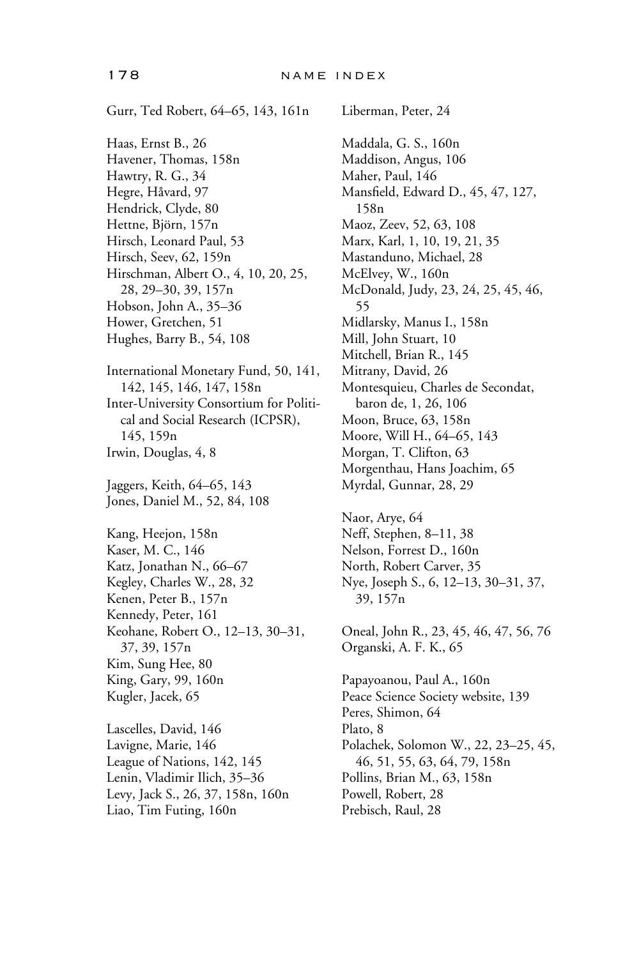Gurr, Ted Robert, 64–65, 143, 161n Haas, Ernst B., 26 Havener, Thomas, 158n Hawtry, R. G., 34 Hegre, Håvard, 97 Hendrick, Clyde, 80 Hettne, Björn, 157n Hirsch, Leonard Paul, 53 Hirsch, Seev, 62, 159n Hirschman, Albert O., 4, 10, 20, 25, 28, 29–30, 39, 157n Hobson, John A., 35–36 Hower, Gretchen, 51 Hughes, Barry B., 54, 108 International Monetary Fund, 50, 141, 142, 145, 146, 147, 158n Inter-University Consortium for Political and Social Research (ICPSR), 145, 159n Irwin, Douglas, 4, 8 Jaggers, Keith, 64–65, 143 Jones, Daniel M., 52, 84, 108 Kang, Heejon, 158n Kaser, M. C., 146 Katz, Jonathan N., 66–67 Kegley, Charles W., 28, 32 Kenen, Peter B., 157n Kennedy, Peter, 161 Keohane, Robert O., 12–13, 30–31, 37, 39, 157n Kim, Sung Hee, 80 King, Gary, 99, 160n Kugler, Jacek, 65 Lascelles, David, 146 Lavigne, Marie, 146 League of Nations, 142, 145 Lenin, Vladimir Ilich, 35–36 Levy, Jack S., 26, 37, 158n, 160n

Liao, Tim Futing, 160n

Liberman, Peter, 24 Maddala, G. S., 160n Maddison, Angus, 106 Maher, Paul, 146 Mansfield, Edward D., 45, 47, 127, 158n Maoz, Zeev, 52, 63, 108 Marx, Karl, 1, 10, 19, 21, 35 Mastanduno, Michael, 28 McElvey, W., 160n McDonald, Judy, 23, 24, 25, 45, 46, 55 Midlarsky, Manus I., 158n Mill, John Stuart, 10 Mitchell, Brian R., 145 Mitrany, David, 26 Montesquieu, Charles de Secondat, baron de, 1, 26, 106 Moon, Bruce, 63, 158n Moore, Will H., 64–65, 143 Morgan, T. Clifton, 63 Morgenthau, Hans Joachim, 65 Myrdal, Gunnar, 28, 29

Naor, Arye, 64 Neff, Stephen, 8–11, 38 Nelson, Forrest D., 160n North, Robert Carver, 35 Nye, Joseph S., 6, 12–13, 30–31, 37, 39, 157n

Oneal, John R., 23, 45, 46, 47, 56, 76 Organski, A. F. K., 65 Papayoanou, Paul A., 160n Peace Science Society website, 139 Peres, Shimon, 64 Plato, 8 Polachek, Solomon W., 22, 23–25, 45,

46, 51, 55, 63, 64, 79, 158n Pollins, Brian M., 63, 158n Powell, Robert, 28 Prebisch, Raul, 28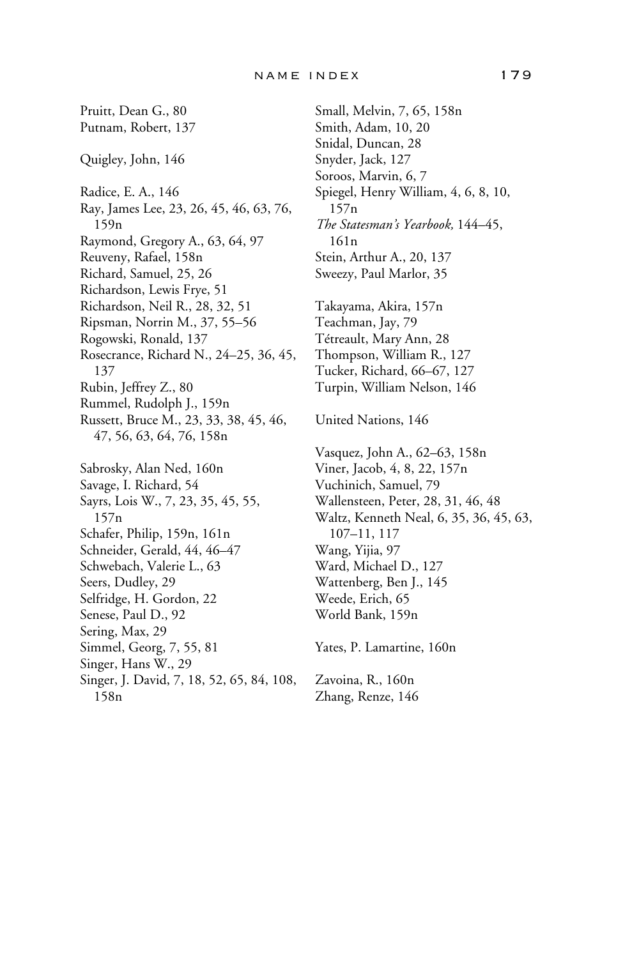Pruitt, Dean G., 80 Putnam, Robert, 137 Quigley, John, 146 Radice, E. A., 146 Ray, James Lee, 23, 26, 45, 46, 63, 76, 159n Raymond, Gregory A., 63, 64, 97 Reuveny, Rafael, 158n Richard, Samuel, 25, 26 Richardson, Lewis Frye, 51 Richardson, Neil R., 28, 32, 51 Ripsman, Norrin M., 37, 55–56 Rogowski, Ronald, 137 Rosecrance, Richard N., 24–25, 36, 45, 137 Rubin, Jeffrey Z., 80 Rummel, Rudolph J., 159n Russett, Bruce M., 23, 33, 38, 45, 46, 47, 56, 63, 64, 76, 158n Sabrosky, Alan Ned, 160n Savage, I. Richard, 54 Sayrs, Lois W., 7, 23, 35, 45, 55, 157n Schafer, Philip, 159n, 161n Schneider, Gerald, 44, 46–47 Schwebach, Valerie L., 63 Seers, Dudley, 29 Selfridge, H. Gordon, 22 Senese, Paul D., 92 Sering, Max, 29 Simmel, Georg, 7, 55, 81 Singer, Hans W., 29 Singer, J. David, 7, 18, 52, 65, 84, 108, 158n

Small, Melvin, 7, 65, 158n Smith, Adam, 10, 20 Snidal, Duncan, 28 Snyder, Jack, 127 Soroos, Marvin, 6, 7 Spiegel, Henry William, 4, 6, 8, 10, 157n *The Statesman's Yearbook,* 144–45, 161n Stein, Arthur A., 20, 137 Sweezy, Paul Marlor, 35 Takayama, Akira, 157n Teachman, Jay, 79 Tétreault, Mary Ann, 28 Thompson, William R., 127 Tucker, Richard, 66–67, 127 Turpin, William Nelson, 146 United Nations, 146 Vasquez, John A., 62–63, 158n Viner, Jacob, 4, 8, 22, 157n Vuchinich, Samuel, 79 Wallensteen, Peter, 28, 31, 46, 48 Waltz, Kenneth Neal, 6, 35, 36, 45, 63, 107–11, 117 Wang, Yijia, 97 Ward, Michael D., 127 Wattenberg, Ben J., 145 Weede, Erich, 65 World Bank, 159n Yates, P. Lamartine, 160n Zavoina, R., 160n Zhang, Renze, 146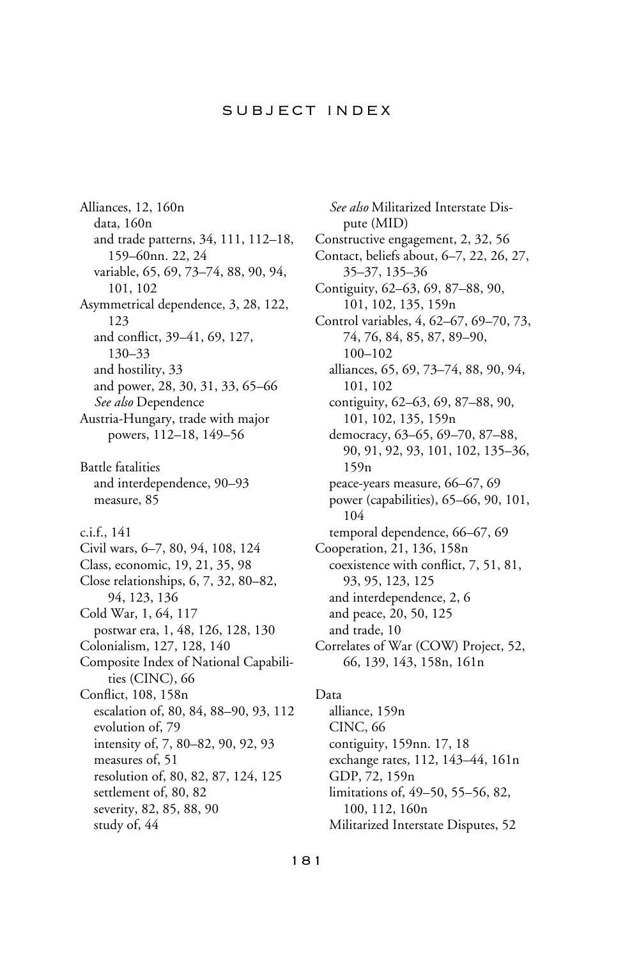# subject index

Alliances, 12, 160n data, 160n and trade patterns, 34, 111, 112–18, 159–60nn. 22, 24 variable, 65, 69, 73–74, 88, 90, 94, 101, 102 Asymmetrical dependence, 3, 28, 122, 123 and conflict, 39–41, 69, 127, 130–33 and hostility, 33 and power, 28, 30, 31, 33, 65–66 *See also* Dependence Austria-Hungary, trade with major powers, 112–18, 149–56 Battle fatalities and interdependence, 90–93 measure, 85 c.i.f., 141 Civil wars, 6–7, 80, 94, 108, 124 Class, economic, 19, 21, 35, 98 Close relationships, 6, 7, 32, 80–82, 94, 123, 136 Cold War, 1, 64, 117 postwar era, 1, 48, 126, 128, 130 Colonialism, 127, 128, 140 Composite Index of National Capabilities (CINC), 66 Conflict, 108, 158n escalation of, 80, 84, 88–90, 93, 112 evolution of, 79 intensity of, 7, 80–82, 90, 92, 93 measures of, 51 resolution of, 80, 82, 87, 124, 125 settlement of, 80, 82 severity, 82, 85, 88, 90 study of, 44

*See also* Militarized Interstate Dispute (MID) Constructive engagement, 2, 32, 56 Contact, beliefs about, 6–7, 22, 26, 27, 35–37, 135–36 Contiguity, 62–63, 69, 87–88, 90, 101, 102, 135, 159n Control variables, 4, 62–67, 69–70, 73, 74, 76, 84, 85, 87, 89–90, 100–102 alliances, 65, 69, 73–74, 88, 90, 94, 101, 102 contiguity, 62–63, 69, 87–88, 90, 101, 102, 135, 159n democracy, 63–65, 69–70, 87–88, 90, 91, 92, 93, 101, 102, 135–36, 159n peace-years measure, 66–67, 69 power (capabilities), 65–66, 90, 101, 104 temporal dependence, 66–67, 69 Cooperation, 21, 136, 158n coexistence with conflict, 7, 51, 81, 93, 95, 123, 125 and interdependence, 2, 6 and peace, 20, 50, 125 and trade, 10 Correlates of War (COW) Project, 52, 66, 139, 143, 158n, 161n

Data alliance, 159n CINC, 66 contiguity, 159nn. 17, 18 exchange rates, 112, 143–44, 161n GDP, 72, 159n limitations of, 49–50, 55–56, 82, 100, 112, 160n Militarized Interstate Disputes, 52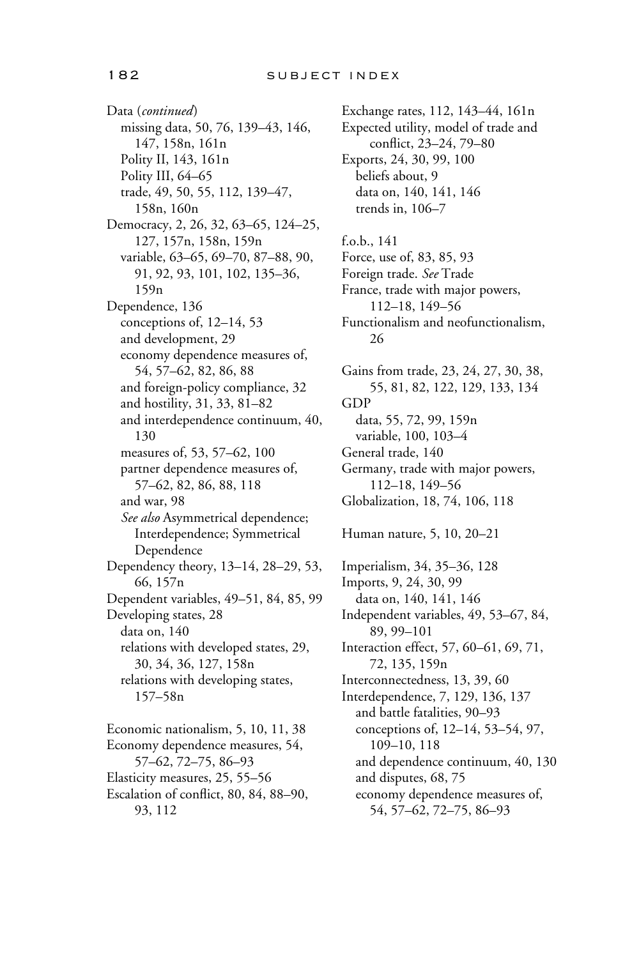Data (*continued*) missing data, 50, 76, 139–43, 146, 147, 158n, 161n Polity II, 143, 161n Polity III, 64–65 trade, 49, 50, 55, 112, 139–47, 158n, 160n Democracy, 2, 26, 32, 63–65, 124–25, 127, 157n, 158n, 159n variable, 63–65, 69–70, 87–88, 90, 91, 92, 93, 101, 102, 135–36, 159n Dependence, 136 conceptions of, 12–14, 53 and development, 29 economy dependence measures of, 54, 57–62, 82, 86, 88 and foreign-policy compliance, 32 and hostility, 31, 33, 81–82 and interdependence continuum, 40, 130 measures of, 53, 57–62, 100 partner dependence measures of, 57–62, 82, 86, 88, 118 and war, 98 *See also* Asymmetrical dependence; Interdependence; Symmetrical Dependence Dependency theory, 13–14, 28–29, 53, 66, 157n Dependent variables, 49–51, 84, 85, 99 Developing states, 28 data on, 140 relations with developed states, 29, 30, 34, 36, 127, 158n relations with developing states, 157–58n Economic nationalism, 5, 10, 11, 38 Economy dependence measures, 54, 57–62, 72–75, 86–93 Elasticity measures, 25, 55–56

Escalation of conflict, 80, 84, 88–90, 93, 112

Exchange rates, 112, 143–44, 161n Expected utility, model of trade and conflict, 23–24, 79–80 Exports, 24, 30, 99, 100 beliefs about, 9 data on, 140, 141, 146 trends in, 106–7 f.o.b., 141 Force, use of, 83, 85, 93 Foreign trade. *See* Trade France, trade with major powers, 112–18, 149–56 Functionalism and neofunctionalism, 26 Gains from trade, 23, 24, 27, 30, 38, 55, 81, 82, 122, 129, 133, 134 GDP data, 55, 72, 99, 159n variable, 100, 103–4 General trade, 140 Germany, trade with major powers, 112–18, 149–56 Globalization, 18, 74, 106, 118 Human nature, 5, 10, 20–21 Imperialism, 34, 35–36, 128 Imports, 9, 24, 30, 99 data on, 140, 141, 146 Independent variables, 49, 53–67, 84, 89, 99–101 Interaction effect, 57, 60–61, 69, 71, 72, 135, 159n Interconnectedness, 13, 39, 60 Interdependence, 7, 129, 136, 137 and battle fatalities, 90–93 conceptions of, 12–14, 53–54, 97, 109–10, 118 and dependence continuum, 40, 130 and disputes, 68, 75 economy dependence measures of, 54, 57–62, 72–75, 86–93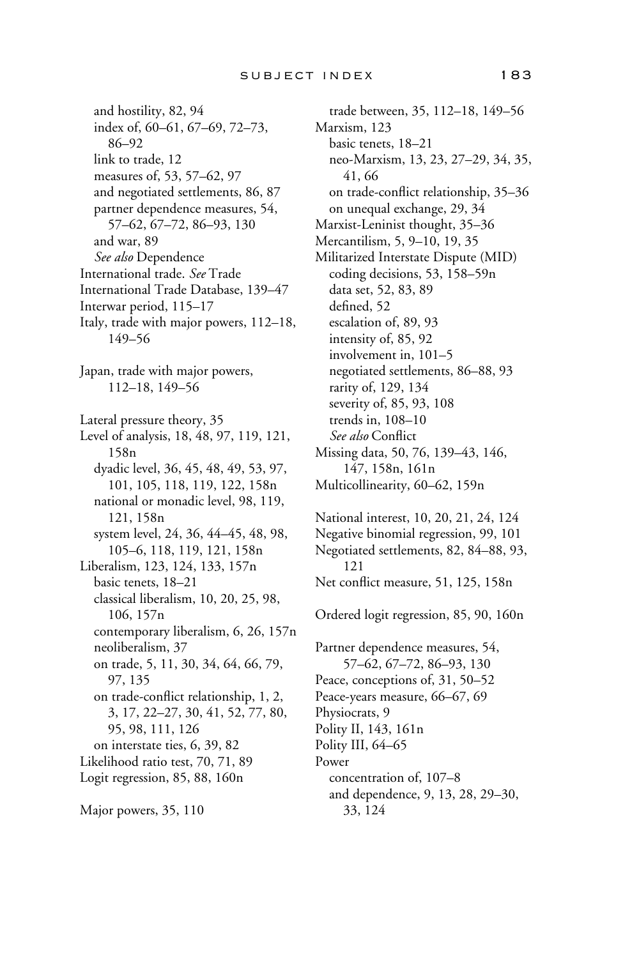and hostility, 82, 94 index of, 60–61, 67–69, 72–73, 86–92 link to trade, 12 measures of, 53, 57–62, 97 and negotiated settlements, 86, 87 partner dependence measures, 54, 57–62, 67–72, 86–93, 130 and war, 89 *See also* Dependence International trade. *See* Trade International Trade Database, 139–47 Interwar period, 115–17 Italy, trade with major powers, 112–18, 149–56 Japan, trade with major powers, 112–18, 149–56 Lateral pressure theory, 35 Level of analysis, 18, 48, 97, 119, 121, 158n dyadic level, 36, 45, 48, 49, 53, 97, 101, 105, 118, 119, 122, 158n national or monadic level, 98, 119, 121, 158n system level, 24, 36, 44–45, 48, 98, 105–6, 118, 119, 121, 158n Liberalism, 123, 124, 133, 157n basic tenets, 18–21 classical liberalism, 10, 20, 25, 98, 106, 157n contemporary liberalism, 6, 26, 157n neoliberalism, 37 on trade, 5, 11, 30, 34, 64, 66, 79, 97, 135 on trade-conflict relationship, 1, 2, 3, 17, 22–27, 30, 41, 52, 77, 80, 95, 98, 111, 126 on interstate ties, 6, 39, 82 Likelihood ratio test, 70, 71, 89 Logit regression, 85, 88, 160n

Major powers, 35, 110

trade between, 35, 112–18, 149–56 Marxism, 123 basic tenets, 18–21 neo-Marxism, 13, 23, 27–29, 34, 35, 41, 66 on trade-conflict relationship, 35–36 on unequal exchange, 29, 34 Marxist-Leninist thought, 35–36 Mercantilism, 5, 9–10, 19, 35 Militarized Interstate Dispute (MID) coding decisions, 53, 158–59n data set, 52, 83, 89 defined, 52 escalation of, 89, 93 intensity of, 85, 92 involvement in, 101–5 negotiated settlements, 86–88, 93 rarity of, 129, 134 severity of, 85, 93, 108 trends in, 108–10 See also Conflict Missing data, 50, 76, 139–43, 146, 147, 158n, 161n Multicollinearity, 60–62, 159n

National interest, 10, 20, 21, 24, 124 Negative binomial regression, 99, 101 Negotiated settlements, 82, 84–88, 93, 121 Net conflict measure, 51, 125, 158n Ordered logit regression, 85, 90, 160n Partner dependence measures, 54, 57–62, 67–72, 86–93, 130

Peace, conceptions of, 31, 50–52 Peace-years measure, 66–67, 69 Physiocrats, 9 Polity II, 143, 161n Polity III, 64–65 Power concentration of, 107–8 and dependence, 9, 13, 28, 29–30, 33, 124